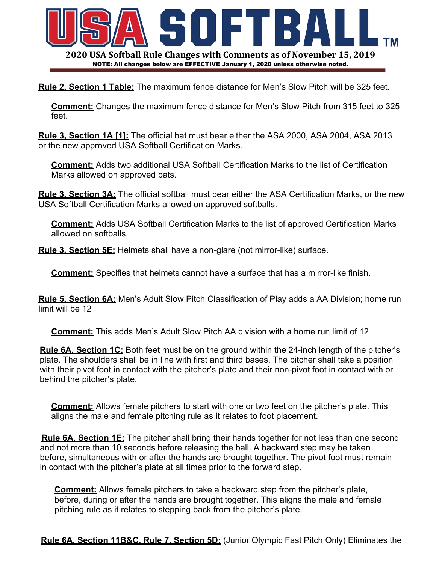

**Rule 2, Section 1 Table:** The maximum fence distance for Men's Slow Pitch will be 325 feet.

**Comment:** Changes the maximum fence distance for Men's Slow Pitch from 315 feet to 325 feet.

**Rule 3, Section 1A [1]:** The official bat must bear either the ASA 2000, ASA 2004, ASA 2013 or the new approved USA Softball Certification Marks.

**Comment:** Adds two additional USA Softball Certification Marks to the list of Certification Marks allowed on approved bats.

**Rule 3, Section 3A:** The official softball must bear either the ASA Certification Marks, or the new USA Softball Certification Marks allowed on approved softballs.

**Comment:** Adds USA Softball Certification Marks to the list of approved Certification Marks allowed on softballs.

**Rule 3, Section 5E:** Helmets shall have a non-glare (not mirror-like) surface.

**Comment:** Specifies that helmets cannot have a surface that has a mirror-like finish.

**Rule 5, Section 6A:** Men's Adult Slow Pitch Classification of Play adds a AA Division; home run limit will be 12

**Comment:** This adds Men's Adult Slow Pitch AA division with a home run limit of 12

**Rule 6A, Section 1C:** Both feet must be on the ground within the 24-inch length of the pitcher's plate. The shoulders shall be in line with first and third bases. The pitcher shall take a position with their pivot foot in contact with the pitcher's plate and their non-pivot foot in contact with or behind the pitcher's plate.

**Comment:** Allows female pitchers to start with one or two feet on the pitcher's plate. This aligns the male and female pitching rule as it relates to foot placement.

 **Rule 6A, Section 1E:** The pitcher shall bring their hands together for not less than one second and not more than 10 seconds before releasing the ball. A backward step may be taken before, simultaneous with or after the hands are brought together. The pivot foot must remain in contact with the pitcher's plate at all times prior to the forward step.

**Comment:** Allows female pitchers to take a backward step from the pitcher's plate, before, during or after the hands are brought together. This aligns the male and female pitching rule as it relates to stepping back from the pitcher's plate.